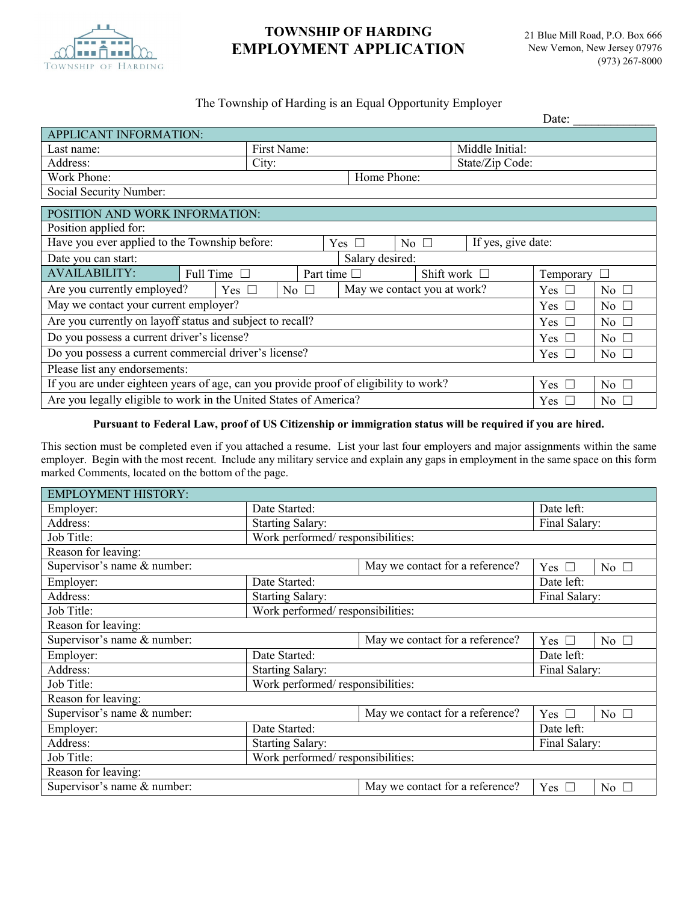

# **TOWNSHIP OF HARDING EMPLOYMENT APPLICATION**

### The Township of Harding is an Equal Opportunity Employer

|                                                                                                   |              |                                       |                             |                 |                     |                         | Date: |  |
|---------------------------------------------------------------------------------------------------|--------------|---------------------------------------|-----------------------------|-----------------|---------------------|-------------------------|-------|--|
| APPLICANT INFORMATION:                                                                            |              |                                       |                             |                 |                     |                         |       |  |
| Last name:                                                                                        | First Name:  |                                       |                             | Middle Initial: |                     |                         |       |  |
| Address:                                                                                          | City:        |                                       |                             | State/Zip Code: |                     |                         |       |  |
| Work Phone:<br>Home Phone:                                                                        |              |                                       |                             |                 |                     |                         |       |  |
| Social Security Number:                                                                           |              |                                       |                             |                 |                     |                         |       |  |
| POSITION AND WORK INFORMATION:                                                                    |              |                                       |                             |                 |                     |                         |       |  |
| Position applied for:                                                                             |              |                                       |                             |                 |                     |                         |       |  |
| Have you ever applied to the Township before:<br>If yes, give date:<br>No $\square$<br>Yes $\Box$ |              |                                       |                             |                 |                     |                         |       |  |
| Salary desired:<br>Date you can start:                                                            |              |                                       |                             |                 |                     |                         |       |  |
| <b>AVAILABILITY:</b><br>Full Time $\Box$                                                          |              | Part time $\Box$<br>Shift work $\Box$ |                             |                 | Temporary<br>$\Box$ |                         |       |  |
| Are you currently employed?<br>Yes $\Box$                                                         | No $\square$ |                                       | May we contact you at work? |                 | Yes $\Box$          | No $\Box$               |       |  |
| May we contact your current employer?                                                             |              |                                       |                             |                 | Yes $\Box$          | $\overline{N_0}$ $\Box$ |       |  |
| Are you currently on layoff status and subject to recall?                                         |              |                                       |                             |                 | Yes $\square$       | No $\Box$               |       |  |
| Do you possess a current driver's license?                                                        |              |                                       |                             |                 | Yes $\Box$          | No $\square$            |       |  |
| Do you possess a current commercial driver's license?                                             |              |                                       |                             |                 | Yes $\Box$          | No $\square$            |       |  |
| Please list any endorsements:                                                                     |              |                                       |                             |                 |                     |                         |       |  |
| If you are under eighteen years of age, can you provide proof of eligibility to work?             |              |                                       |                             |                 | Yes $\square$       | $\overline{N_0}$ $\Box$ |       |  |
| Are you legally eligible to work in the United States of America?                                 |              |                                       |                             |                 | Yes $\Box$          | $\overline{N_0}$ $\Box$ |       |  |

### **Pursuant to Federal Law, proof of US Citizenship or immigration status will be required if you are hired.**

This section must be completed even if you attached a resume. List your last four employers and major assignments within the same employer. Begin with the most recent. Include any military service and explain any gaps in employment in the same space on this form marked Comments, located on the bottom of the page.

| <b>EMPLOYMENT HISTORY:</b>  |                                  |                                 |               |              |  |  |
|-----------------------------|----------------------------------|---------------------------------|---------------|--------------|--|--|
| Employer:                   | Date Started:                    | Date left:                      |               |              |  |  |
| Address:                    | <b>Starting Salary:</b>          | Final Salary:                   |               |              |  |  |
| Job Title:                  | Work performed/responsibilities: |                                 |               |              |  |  |
| Reason for leaving:         |                                  |                                 |               |              |  |  |
| Supervisor's name & number: |                                  | May we contact for a reference? | Yes $\Box$    | No $\square$ |  |  |
| Employer:                   | Date Started:                    | Date left:                      |               |              |  |  |
| Address:                    | <b>Starting Salary:</b>          | Final Salary:                   |               |              |  |  |
| Job Title:                  | Work performed/responsibilities: |                                 |               |              |  |  |
| Reason for leaving:         |                                  |                                 |               |              |  |  |
| Supervisor's name & number: |                                  | May we contact for a reference? | Yes $\square$ | No $\Box$    |  |  |
| Employer:                   | Date Started:                    | Date left:                      |               |              |  |  |
| Address:                    | <b>Starting Salary:</b>          | Final Salary:                   |               |              |  |  |
| Job Title:                  | Work performed/responsibilities: |                                 |               |              |  |  |
| Reason for leaving:         |                                  |                                 |               |              |  |  |
| Supervisor's name & number: |                                  | May we contact for a reference? | Yes $\square$ | No $\square$ |  |  |
| Employer:                   | Date Started:                    | Date left:                      |               |              |  |  |
| Address:                    | <b>Starting Salary:</b>          | Final Salary:                   |               |              |  |  |
| Job Title:                  | Work performed/responsibilities: |                                 |               |              |  |  |
| Reason for leaving:         |                                  |                                 |               |              |  |  |
| Supervisor's name & number: |                                  | May we contact for a reference? | Yes $\Box$    | No $\square$ |  |  |